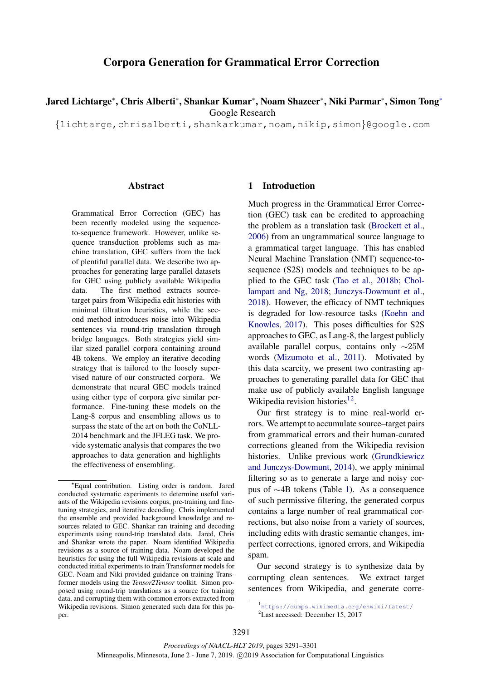# Corpora Generation for Grammatical Error Correction

Jared Lichtarge<sup>∗</sup> , Chris Alberti<sup>∗</sup> , Shankar Kumar<sup>∗</sup> , Noam Shazeer<sup>∗</sup> , Niki Parmar<sup>∗</sup> , Simon Tong<sup>∗</sup> Google Research

{lichtarge,chrisalberti,shankarkumar,noam,nikip,simon}@google.com

## Abstract

Grammatical Error Correction (GEC) has been recently modeled using the sequenceto-sequence framework. However, unlike sequence transduction problems such as machine translation, GEC suffers from the lack of plentiful parallel data. We describe two approaches for generating large parallel datasets for GEC using publicly available Wikipedia data. The first method extracts sourcetarget pairs from Wikipedia edit histories with minimal filtration heuristics, while the second method introduces noise into Wikipedia sentences via round-trip translation through bridge languages. Both strategies yield similar sized parallel corpora containing around 4B tokens. We employ an iterative decoding strategy that is tailored to the loosely supervised nature of our constructed corpora. We demonstrate that neural GEC models trained using either type of corpora give similar performance. Fine-tuning these models on the Lang-8 corpus and ensembling allows us to surpass the state of the art on both the CoNLL-2014 benchmark and the JFLEG task. We provide systematic analysis that compares the two approaches to data generation and highlights the effectiveness of ensembling.

## 1 Introduction

Much progress in the Grammatical Error Correction (GEC) task can be credited to approaching the problem as a translation task (Brockett et al., 2006) from an ungrammatical source language to a grammatical target language. This has enabled Neural Machine Translation (NMT) sequence-tosequence (S2S) models and techniques to be applied to the GEC task (Tao et al., 2018b; Chollampatt and Ng, 2018; Junczys-Dowmunt et al., 2018). However, the efficacy of NMT techniques is degraded for low-resource tasks (Koehn and Knowles, 2017). This poses difficulties for S2S approaches to GEC, as Lang-8, the largest publicly available parallel corpus, contains only ∼25M words (Mizumoto et al., 2011). Motivated by this data scarcity, we present two contrasting approaches to generating parallel data for GEC that make use of publicly available English language Wikipedia revision histories<sup>12</sup>.

Our first strategy is to mine real-world errors. We attempt to accumulate source–target pairs from grammatical errors and their human-curated corrections gleaned from the Wikipedia revision histories. Unlike previous work (Grundkiewicz and Junczys-Dowmunt, 2014), we apply minimal filtering so as to generate a large and noisy corpus of ∼4B tokens (Table 1). As a consequence of such permissive filtering, the generated corpus contains a large number of real grammatical corrections, but also noise from a variety of sources, including edits with drastic semantic changes, imperfect corrections, ignored errors, and Wikipedia spam.

Our second strategy is to synthesize data by corrupting clean sentences. We extract target sentences from Wikipedia, and generate corre-

<sup>∗</sup>Equal contribution. Listing order is random. Jared conducted systematic experiments to determine useful variants of the Wikipedia revisions corpus, pre-training and finetuning strategies, and iterative decoding. Chris implemented the ensemble and provided background knowledge and resources related to GEC. Shankar ran training and decoding experiments using round-trip translated data. Jared, Chris and Shankar wrote the paper. Noam identified Wikipedia revisions as a source of training data. Noam developed the heuristics for using the full Wikipedia revisions at scale and conducted initial experiments to train Transformer models for GEC. Noam and Niki provided guidance on training Transformer models using the *Tensor2Tensor* toolkit. Simon proposed using round-trip translations as a source for training data, and corrupting them with common errors extracted from Wikipedia revisions. Simon generated such data for this paper.

<sup>1</sup> https://dumps.wikimedia.org/enwiki/latest/ <sup>2</sup>Last accessed: December 15, 2017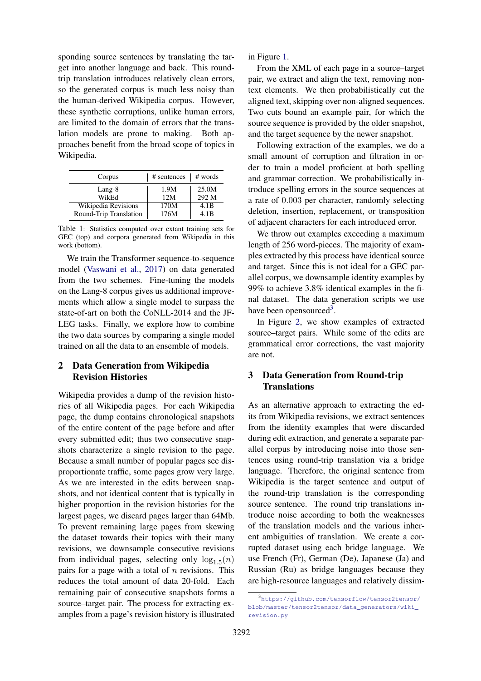sponding source sentences by translating the target into another language and back. This roundtrip translation introduces relatively clean errors, so the generated corpus is much less noisy than the human-derived Wikipedia corpus. However, these synthetic corruptions, unlike human errors, are limited to the domain of errors that the translation models are prone to making. Both approaches benefit from the broad scope of topics in Wikipedia.

| Corpus                 | # sentences | # words |
|------------------------|-------------|---------|
| Lang-8                 | 1.9M        | 25.0M   |
| WikEd                  | 12M         | 292 M   |
| Wikipedia Revisions    | 170M        | 4.1B    |
| Round-Trip Translation | 176M        | 4.1B    |

Table 1: Statistics computed over extant training sets for GEC (top) and corpora generated from Wikipedia in this work (bottom).

We train the Transformer sequence-to-sequence model (Vaswani et al., 2017) on data generated from the two schemes. Fine-tuning the models on the Lang-8 corpus gives us additional improvements which allow a single model to surpass the state-of-art on both the CoNLL-2014 and the JF-LEG tasks. Finally, we explore how to combine the two data sources by comparing a single model trained on all the data to an ensemble of models.

## 2 Data Generation from Wikipedia Revision Histories

Wikipedia provides a dump of the revision histories of all Wikipedia pages. For each Wikipedia page, the dump contains chronological snapshots of the entire content of the page before and after every submitted edit; thus two consecutive snapshots characterize a single revision to the page. Because a small number of popular pages see disproportionate traffic, some pages grow very large. As we are interested in the edits between snapshots, and not identical content that is typically in higher proportion in the revision histories for the largest pages, we discard pages larger than 64Mb. To prevent remaining large pages from skewing the dataset towards their topics with their many revisions, we downsample consecutive revisions from individual pages, selecting only  $log_{1.5}(n)$ pairs for a page with a total of  $n$  revisions. This reduces the total amount of data 20-fold. Each remaining pair of consecutive snapshots forms a source–target pair. The process for extracting examples from a page's revision history is illustrated in Figure 1.

From the XML of each page in a source–target pair, we extract and align the text, removing nontext elements. We then probabilistically cut the aligned text, skipping over non-aligned sequences. Two cuts bound an example pair, for which the source sequence is provided by the older snapshot, and the target sequence by the newer snapshot.

Following extraction of the examples, we do a small amount of corruption and filtration in order to train a model proficient at both spelling and grammar correction. We probabilistically introduce spelling errors in the source sequences at a rate of 0.003 per character, randomly selecting deletion, insertion, replacement, or transposition of adjacent characters for each introduced error.

We throw out examples exceeding a maximum length of 256 word-pieces. The majority of examples extracted by this process have identical source and target. Since this is not ideal for a GEC parallel corpus, we downsample identity examples by 99% to achieve 3.8% identical examples in the final dataset. The data generation scripts we use have been opensourced<sup>3</sup>.

In Figure 2, we show examples of extracted source–target pairs. While some of the edits are grammatical error corrections, the vast majority are not.

## 3 Data Generation from Round-trip **Translations**

As an alternative approach to extracting the edits from Wikipedia revisions, we extract sentences from the identity examples that were discarded during edit extraction, and generate a separate parallel corpus by introducing noise into those sentences using round-trip translation via a bridge language. Therefore, the original sentence from Wikipedia is the target sentence and output of the round-trip translation is the corresponding source sentence. The round trip translations introduce noise according to both the weaknesses of the translation models and the various inherent ambiguities of translation. We create a corrupted dataset using each bridge language. We use French (Fr), German (De), Japanese (Ja) and Russian (Ru) as bridge languages because they are high-resource languages and relatively dissim-

<sup>3</sup> https://github.com/tensorflow/tensor2tensor/ blob/master/tensor2tensor/data\_generators/wiki\_ revision.py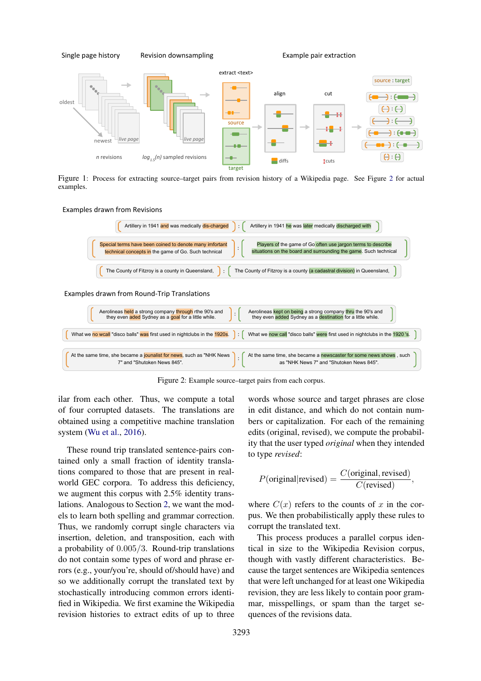

Figure 1: Process for extracting source–target pairs from revision history of a Wikipedia page. See Figure 2 for actual examples.





### Examples drawn from Round-Trip Translations



Figure 2: Example source–target pairs from each corpus.

ilar from each other. Thus, we compute a total of four corrupted datasets. The translations are obtained using a competitive machine translation system (Wu et al., 2016).

These round trip translated sentence-pairs contained only a small fraction of identity translations compared to those that are present in realworld GEC corpora. To address this deficiency, we augment this corpus with 2.5% identity translations. Analogous to Section 2, we want the models to learn both spelling and grammar correction. Thus, we randomly corrupt single characters via insertion, deletion, and transposition, each with a probability of 0.005/3. Round-trip translations do not contain some types of word and phrase errors (e.g., your/you're, should of/should have) and so we additionally corrupt the translated text by stochastically introducing common errors identified in Wikipedia. We first examine the Wikipedia revision histories to extract edits of up to three

words whose source and target phrases are close in edit distance, and which do not contain numbers or capitalization. For each of the remaining edits (original, revised), we compute the probability that the user typed *original* when they intended to type *revised*:

$$
P(\text{original}|\text{revised}) = \frac{C(\text{original}, \text{revised})}{C(\text{revised})},
$$

where  $C(x)$  refers to the counts of x in the corpus. We then probabilistically apply these rules to corrupt the translated text.

This process produces a parallel corpus identical in size to the Wikipedia Revision corpus, though with vastly different characteristics. Because the target sentences are Wikipedia sentences that were left unchanged for at least one Wikipedia revision, they are less likely to contain poor grammar, misspellings, or spam than the target sequences of the revisions data.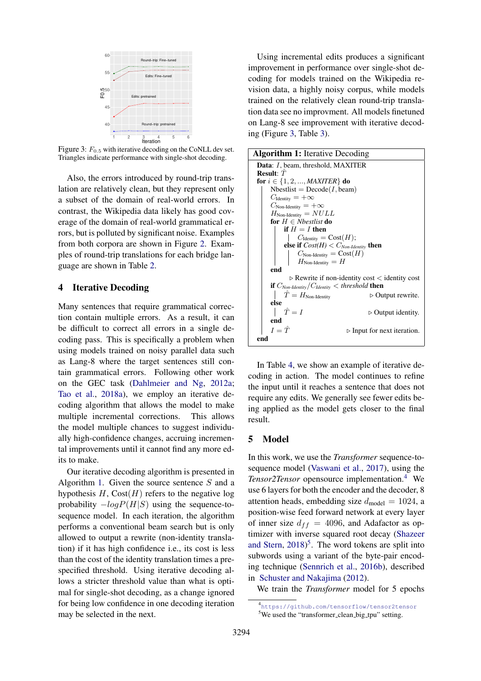

Figure 3:  $F_{0.5}$  with iterative decoding on the CoNLL dev set. Triangles indicate performance with single-shot decoding.

Also, the errors introduced by round-trip translation are relatively clean, but they represent only a subset of the domain of real-world errors. In contrast, the Wikipedia data likely has good coverage of the domain of real-world grammatical errors, but is polluted by significant noise. Examples from both corpora are shown in Figure 2. Examples of round-trip translations for each bridge language are shown in Table 2.

## 4 Iterative Decoding

Many sentences that require grammatical correction contain multiple errors. As a result, it can be difficult to correct all errors in a single decoding pass. This is specifically a problem when using models trained on noisy parallel data such as Lang-8 where the target sentences still contain grammatical errors. Following other work on the GEC task (Dahlmeier and Ng, 2012a; Tao et al., 2018a), we employ an iterative decoding algorithm that allows the model to make multiple incremental corrections. This allows the model multiple chances to suggest individually high-confidence changes, accruing incremental improvements until it cannot find any more edits to make.

Our iterative decoding algorithm is presented in Algorithm 1. Given the source sentence S and a hypothesis  $H$ , Cost $(H)$  refers to the negative log probability  $-\log P(H|S)$  using the sequence-tosequence model. In each iteration, the algorithm performs a conventional beam search but is only allowed to output a rewrite (non-identity translation) if it has high confidence i.e., its cost is less than the cost of the identity translation times a prespecified threshold. Using iterative decoding allows a stricter threshold value than what is optimal for single-shot decoding, as a change ignored for being low confidence in one decoding iteration may be selected in the next.

Using incremental edits produces a significant improvement in performance over single-shot decoding for models trained on the Wikipedia revision data, a highly noisy corpus, while models trained on the relatively clean round-trip translation data see no improvment. All models finetuned on Lang-8 see improvement with iterative decoding (Figure 3, Table 3).

| <b>Algorithm 1:</b> Iterative Decoding                            |                                                                   |
|-------------------------------------------------------------------|-------------------------------------------------------------------|
| <b>Data:</b> I, beam, threshold, MAXITER                          |                                                                   |
| Result: $T$                                                       |                                                                   |
| for $i \in \{1, 2, , MAXITER\}$ do                                |                                                                   |
| $Nbestlist = Decode(I, beam)$                                     |                                                                   |
| $C_{\text{Identity}} = +\infty$                                   |                                                                   |
| $C_{\text{Non-Identity}} = +\infty$                               |                                                                   |
| $H_{\text{Non-Identity}} = NULL$                                  |                                                                   |
| for $H \in Nbestlist$ do                                          |                                                                   |
| if $H = I$ then                                                   |                                                                   |
| $\big $ $C_{Identity} = Cost(H);$                                 |                                                                   |
| else if $Cost(H) < C_{Non\text{-}Identity}$ then                  |                                                                   |
| $C_{\text{Non-Identity}} = \text{Cost}(H)$                        |                                                                   |
| $H_{\text{Non-Identity}} = H$                                     |                                                                   |
| end                                                               |                                                                   |
|                                                                   | $\triangleright$ Rewrite if non-identity cost $\lt$ identity cost |
| <b>if</b> $C_{Non-Identity}/C_{Identity} <$ threshold <b>then</b> |                                                                   |
| $\hat{T} = H_{\text{Non-Identity}}$                               | $\triangleright$ Output rewrite.                                  |
| else                                                              |                                                                   |
| $\hat{T}=I$                                                       | $\triangleright$ Output identity.                                 |
| end                                                               |                                                                   |
| $I = \hat{T}$                                                     |                                                                   |
|                                                                   | $\triangleright$ Input for next iteration.                        |
| end                                                               |                                                                   |

In Table 4, we show an example of iterative decoding in action. The model continues to refine the input until it reaches a sentence that does not require any edits. We generally see fewer edits being applied as the model gets closer to the final result.

#### 5 Model

In this work, we use the *Transformer* sequence-tosequence model (Vaswani et al., 2017), using the *Tensor2Tensor* opensource implementation.<sup>4</sup> We use 6 layers for both the encoder and the decoder, 8 attention heads, embedding size  $d_{\text{model}} = 1024$ , a position-wise feed forward network at every layer of inner size  $d_{ff} = 4096$ , and Adafactor as optimizer with inverse squared root decay (Shazeer and Stern, 2018) 5 . The word tokens are split into subwords using a variant of the byte-pair encoding technique (Sennrich et al., 2016b), described in Schuster and Nakajima (2012).

We train the *Transformer* model for 5 epochs

<sup>4</sup> https://github.com/tensorflow/tensor2tensor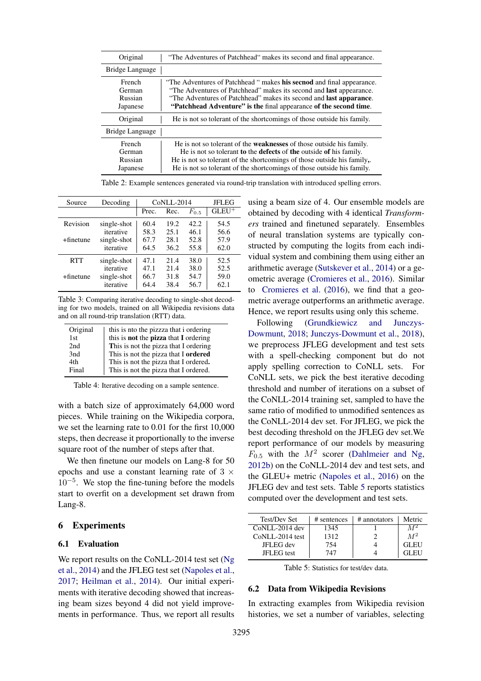| Original                                | "The Adventures of Patchhead" makes its second and final appearance.                                                                                                                                                                                                                                         |
|-----------------------------------------|--------------------------------------------------------------------------------------------------------------------------------------------------------------------------------------------------------------------------------------------------------------------------------------------------------------|
| Bridge Language                         |                                                                                                                                                                                                                                                                                                              |
| French<br>German<br>Russian<br>Japanese | "The Adventures of Patchhead" makes <b>his secnod</b> and final appearance.<br>"The Adventures of Patchhead" makes its second and <b>last</b> appearance.<br>"The Adventures of Patchhead" makes its second and <b>last apparance</b> .<br>"Patchhead Adventure" is the final appearance of the second time. |
| Original                                | He is not so tolerant of the shortcomings of those outside his family.                                                                                                                                                                                                                                       |
| Bridge Language                         |                                                                                                                                                                                                                                                                                                              |
| French<br>German<br>Russian<br>Japanese | He is not so tolerant of the <b>weaknesses</b> of those outside his family.<br>He is not so tolerant to the defects of the outside of his family.<br>He is not so tolerant of the shortcomings of those outside his family,<br>He is not so tolerant of the shortcomings of those outside his family.        |

Table 2: Example sentences generated via round-trip translation with introduced spelling errors.

| Source       | Decoding    | CoNLL-2014 |      |           | JFLEG    |
|--------------|-------------|------------|------|-----------|----------|
|              |             | Prec.      | Rec. | $F_{0.5}$ | $GLEU^+$ |
| Revision     | single-shot | 60.4       | 19.2 | 42.2      | 54.5     |
|              | iterative   | 58.3       | 25.1 | 46.1      | 56.6     |
| $+$ finetune | single-shot | 67.7       | 28.1 | 52.8      | 57.9     |
|              | iterative   | 64.5       | 36.2 | 55.8      | 62.0     |
| <b>RTT</b>   | single-shot | 47.1       | 21.4 | 38.0      | 52.5     |
|              | iterative   | 47.1       | 21.4 | 38.0      | 52.5     |
| $+$ finetune | single-shot | 66.7       | 31.8 | 54.7      | 59.0     |
|              | iterative   | 64.4       | 38.4 | 56.7      | 62.1     |

Table 3: Comparing iterative decoding to single-shot decoding for two models, trained on all Wikipedia revisions data and on all round-trip translation (RTT) data.

| Original | this is nto the pizzza that i ordering |
|----------|----------------------------------------|
| 1st      | this is not the pizza that I ordering  |
| 2nd      | This is not the pizza that I ordering  |
| 3nd      | This is not the pizza that I ordered   |
| 4th      | This is not the pizza that I ordered.  |
| Final    | This is not the pizza that I ordered.  |

Table 4: Iterative decoding on a sample sentence.

with a batch size of approximately 64,000 word pieces. While training on the Wikipedia corpora, we set the learning rate to 0.01 for the first 10,000 steps, then decrease it proportionally to the inverse square root of the number of steps after that.

We then finetune our models on Lang-8 for 50 epochs and use a constant learning rate of  $3 \times$ 10−<sup>5</sup> . We stop the fine-tuning before the models start to overfit on a development set drawn from Lang-8.

### 6 Experiments

## 6.1 Evaluation

We report results on the CoNLL-2014 test set (Ng et al., 2014) and the JFLEG test set (Napoles et al., 2017; Heilman et al., 2014). Our initial experiments with iterative decoding showed that increasing beam sizes beyond 4 did not yield improvements in performance. Thus, we report all results

using a beam size of 4. Our ensemble models are obtained by decoding with 4 identical *Transformers* trained and finetuned separately. Ensembles of neural translation systems are typically constructed by computing the logits from each individual system and combining them using either an arithmetic average (Sutskever et al., 2014) or a geometric average (Cromieres et al., 2016). Similar to Cromieres et al. (2016), we find that a geometric average outperforms an arithmetic average. Hence, we report results using only this scheme.

Following (Grundkiewicz and Junczys-Dowmunt, 2018; Junczys-Dowmunt et al., 2018), we preprocess JFLEG development and test sets with a spell-checking component but do not apply spelling correction to CoNLL sets. For CoNLL sets, we pick the best iterative decoding threshold and number of iterations on a subset of the CoNLL-2014 training set, sampled to have the same ratio of modified to unmodified sentences as the CoNLL-2014 dev set. For JFLEG, we pick the best decoding threshold on the JFLEG dev set.We report performance of our models by measuring  $F_{0.5}$  with the  $M^2$  scorer (Dahlmeier and Ng, 2012b) on the CoNLL-2014 dev and test sets, and the GLEU+ metric (Napoles et al., 2016) on the JFLEG dev and test sets. Table 5 reports statistics computed over the development and test sets.

| Test/Dev Set    | # sentences | # annotators | Metric |
|-----------------|-------------|--------------|--------|
| CoNLL-2014 dev  | 1345        |              |        |
| CoNLL-2014 test | 1312        |              | $M^2$  |
| JFLEG dev       | 754         |              | GL EU  |
| JFLEG test      | 747         |              | GLEU   |

Table 5: Statistics for test/dev data.

#### 6.2 Data from Wikipedia Revisions

In extracting examples from Wikipedia revision histories, we set a number of variables, selecting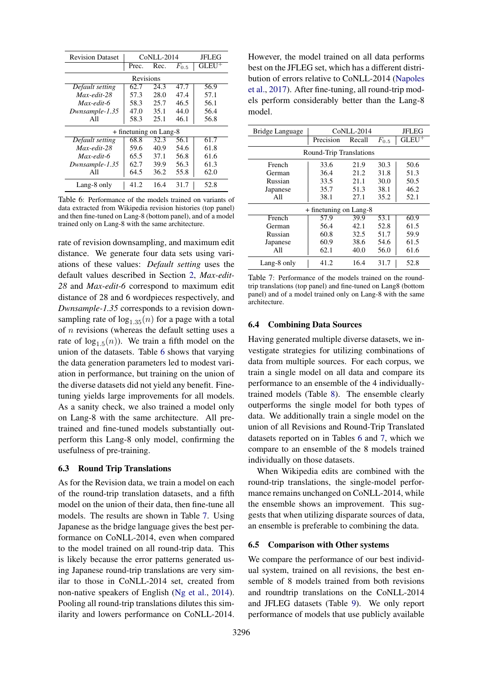| <b>Revision Dataset</b> | CoNLL-2014             |      |           | <b>JFLEG</b> |
|-------------------------|------------------------|------|-----------|--------------|
|                         | Prec.                  | Rec. | $F_{0.5}$ | $GLEU^+$     |
|                         | Revisions              |      |           |              |
| Default setting         | 62.7                   | 24.3 | 47.7      | 56.9         |
| Max-edit-28             | 57.3                   | 28.0 | 47.4      | 57.1         |
| Max-edit-6              | 58.3                   | 25.7 | 46.5      | 56.1         |
| Dwnsample-1.35          | 47.0                   | 35.1 | 44.0      | 56.4         |
| All                     | 58.3                   | 25.1 | 46.1      | 56.8         |
|                         | + finetuning on Lang-8 |      |           |              |
| Default setting         | 68.8                   | 32.3 | 56.1      | 61.7         |
| Max-edit-28             | 59.6                   | 40.9 | 54.6      | 61.8         |
| Max-edit-6              | 65.5                   | 37.1 | 56.8      | 61.6         |
| Dwnsample-1.35          | 62.7                   | 39.9 | 56.3      | 61.3         |
| All                     | 64.5                   | 36.2 | 55.8      | 62.0         |
| Lang-8 only             | 41.2                   | 16.4 | 31.7      | 52.8         |

Table 6: Performance of the models trained on variants of data extracted from Wikipedia revision histories (top panel) and then fine-tuned on Lang-8 (bottom panel), and of a model trained only on Lang-8 with the same architecture.

rate of revision downsampling, and maximum edit distance. We generate four data sets using variations of these values: *Default setting* uses the default values described in Section 2, *Max-edit-28* and *Max-edit-6* correspond to maximum edit distance of 28 and 6 wordpieces respectively, and *Dwnsample-1.35* corresponds to a revision downsampling rate of  $log_{1.35}(n)$  for a page with a total of  $n$  revisions (whereas the default setting uses a rate of  $log_{1.5}(n)$ ). We train a fifth model on the union of the datasets. Table 6 shows that varying the data generation parameters led to modest variation in performance, but training on the union of the diverse datasets did not yield any benefit. Finetuning yields large improvements for all models. As a sanity check, we also trained a model only on Lang-8 with the same architecture. All pretrained and fine-tuned models substantially outperform this Lang-8 only model, confirming the usefulness of pre-training.

#### 6.3 Round Trip Translations

As for the Revision data, we train a model on each of the round-trip translation datasets, and a fifth model on the union of their data, then fine-tune all models. The results are shown in Table 7. Using Japanese as the bridge language gives the best performance on CoNLL-2014, even when compared to the model trained on all round-trip data. This is likely because the error patterns generated using Japanese round-trip translations are very similar to those in CoNLL-2014 set, created from non-native speakers of English (Ng et al., 2014). Pooling all round-trip translations dilutes this similarity and lowers performance on CoNLL-2014.

However, the model trained on all data performs best on the JFLEG set, which has a different distribution of errors relative to CoNLL-2014 (Napoles et al., 2017). After fine-tuning, all round-trip models perform considerably better than the Lang-8 model.

| Bridge Language        | $CoNLL-2014$            |        |           | <b>JFLEG</b> |
|------------------------|-------------------------|--------|-----------|--------------|
|                        | Precision               | Recall | $F_{0.5}$ | $GLEU^+$     |
|                        | Round-Trip Translations |        |           |              |
| French                 | 33.6                    | 21.9   | 30.3      | 50.6         |
| German                 | 36.4                    | 21.2   | 31.8      | 51.3         |
| Russian                | 33.5                    | 21.1   | 30.0      | 50.5         |
| Japanese               | 35.7                    | 51.3   | 38.1      | 46.2         |
| All                    | 38.1                    | 27.1   | 35.2      | 52.1         |
| + finetuning on Lang-8 |                         |        |           |              |
| French                 | 57.9                    | 39.9   | 53.1      | 60.9         |
| German                 | 56.4                    | 42.1   | 52.8      | 61.5         |
| Russian                | 60.8                    | 32.5   | 51.7      | 59.9         |
| Japanese               | 60.9                    | 38.6   | 54.6      | 61.5         |
| All                    | 62.1                    | 40.0   | 56.0      | 61.6         |
| Lang-8 only            | 41.2                    | 16.4   | 31.7      | 52.8         |

Table 7: Performance of the models trained on the roundtrip translations (top panel) and fine-tuned on Lang8 (bottom panel) and of a model trained only on Lang-8 with the same architecture.

#### 6.4 Combining Data Sources

Having generated multiple diverse datasets, we investigate strategies for utilizing combinations of data from multiple sources. For each corpus, we train a single model on all data and compare its performance to an ensemble of the 4 individuallytrained models (Table 8). The ensemble clearly outperforms the single model for both types of data. We additionally train a single model on the union of all Revisions and Round-Trip Translated datasets reported on in Tables 6 and 7, which we compare to an ensemble of the 8 models trained individually on those datasets.

When Wikipedia edits are combined with the round-trip translations, the single-model performance remains unchanged on CoNLL-2014, while the ensemble shows an improvement. This suggests that when utilizing disparate sources of data, an ensemble is preferable to combining the data.

## 6.5 Comparison with Other systems

We compare the performance of our best individual system, trained on all revisions, the best ensemble of 8 models trained from both revisions and roundtrip translations on the CoNLL-2014 and JFLEG datasets (Table 9). We only report performance of models that use publicly available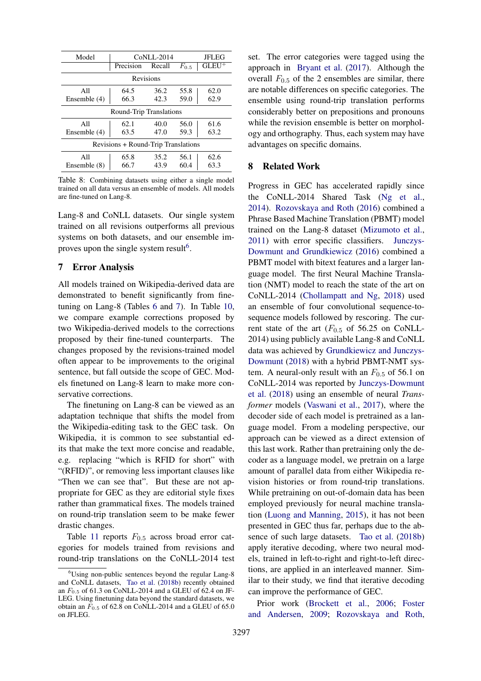| Model                               | $CoNLL-2014$            |        |           | <b>JFLEG</b> |
|-------------------------------------|-------------------------|--------|-----------|--------------|
|                                     | Precision               | Recall | $F_{0.5}$ | $GLEU^+$     |
|                                     | <b>Revisions</b>        |        |           |              |
| All                                 | 64.5                    | 36.2   | 55.8      | 62.0         |
| Ensemble (4)                        | 66.3                    | 42.3   | 59.0      | 62.9         |
|                                     | Round-Trip Translations |        |           |              |
| All                                 | 62.1                    | 40.0   | 56.0      | 61.6         |
| Ensemble (4)                        | 63.5                    | 47.0   | 59.3      | 63.2         |
| Revisions + Round-Trip Translations |                         |        |           |              |
| All                                 | 65.8                    | 35.2   | 56.1      | 62.6         |
| Ensemble (8)                        | 66.7                    | 43.9   | 60.4      | 63.3         |

Table 8: Combining datasets using either a single model trained on all data versus an ensemble of models. All models are fine-tuned on Lang-8.

Lang-8 and CoNLL datasets. Our single system trained on all revisions outperforms all previous systems on both datasets, and our ensemble improves upon the single system result<sup>6</sup>.

## 7 Error Analysis

All models trained on Wikipedia-derived data are demonstrated to benefit significantly from finetuning on Lang-8 (Tables 6 and 7). In Table 10, we compare example corrections proposed by two Wikipedia-derived models to the corrections proposed by their fine-tuned counterparts. The changes proposed by the revisions-trained model often appear to be improvements to the original sentence, but fall outside the scope of GEC. Models finetuned on Lang-8 learn to make more conservative corrections.

The finetuning on Lang-8 can be viewed as an adaptation technique that shifts the model from the Wikipedia-editing task to the GEC task. On Wikipedia, it is common to see substantial edits that make the text more concise and readable, e.g. replacing "which is RFID for short" with "(RFID)", or removing less important clauses like "Then we can see that". But these are not appropriate for GEC as they are editorial style fixes rather than grammatical fixes. The models trained on round-trip translation seem to be make fewer drastic changes.

Table 11 reports  $F_{0.5}$  across broad error categories for models trained from revisions and round-trip translations on the CoNLL-2014 test set. The error categories were tagged using the approach in Bryant et al. (2017). Although the overall  $F_{0.5}$  of the 2 ensembles are similar, there are notable differences on specific categories. The ensemble using round-trip translation performs considerably better on prepositions and pronouns while the revision ensemble is better on morphology and orthography. Thus, each system may have advantages on specific domains.

## 8 Related Work

Progress in GEC has accelerated rapidly since the CoNLL-2014 Shared Task (Ng et al., 2014). Rozovskaya and Roth (2016) combined a Phrase Based Machine Translation (PBMT) model trained on the Lang-8 dataset (Mizumoto et al., 2011) with error specific classifiers. Junczys-Dowmunt and Grundkiewicz (2016) combined a PBMT model with bitext features and a larger language model. The first Neural Machine Translation (NMT) model to reach the state of the art on CoNLL-2014 (Chollampatt and Ng, 2018) used an ensemble of four convolutional sequence-tosequence models followed by rescoring. The current state of the art  $(F<sub>0.5</sub>$  of 56.25 on CoNLL-2014) using publicly available Lang-8 and CoNLL data was achieved by Grundkiewicz and Junczys-Dowmunt (2018) with a hybrid PBMT-NMT system. A neural-only result with an  $F_{0.5}$  of 56.1 on CoNLL-2014 was reported by Junczys-Dowmunt et al. (2018) using an ensemble of neural *Transformer* models (Vaswani et al., 2017), where the decoder side of each model is pretrained as a language model. From a modeling perspective, our approach can be viewed as a direct extension of this last work. Rather than pretraining only the decoder as a language model, we pretrain on a large amount of parallel data from either Wikipedia revision histories or from round-trip translations. While pretraining on out-of-domain data has been employed previously for neural machine translation (Luong and Manning, 2015), it has not been presented in GEC thus far, perhaps due to the absence of such large datasets. Tao et al. (2018b) apply iterative decoding, where two neural models, trained in left-to-right and right-to-left directions, are applied in an interleaved manner. Similar to their study, we find that iterative decoding can improve the performance of GEC.

Prior work (Brockett et al., 2006; Foster and Andersen, 2009; Rozovskaya and Roth,

 $6$ Using non-public sentences beyond the regular Lang-8 and CoNLL datasets, Tao et al. (2018b) recently obtained an  $F_{0.5}$  of 61.3 on CoNLL-2014 and a GLEU of 62.4 on JF-LEG. Using finetuning data beyond the standard datasets, we obtain an  $\bar{F}_{0.5}$  of 62.8 on CoNLL-2014 and a GLEU of 65.0 on JFLEG.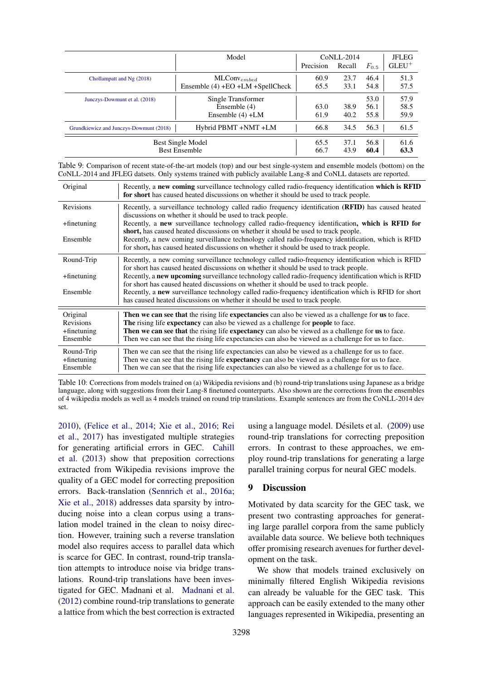|                                           | Model                                                     | Precision    | $CoNLL-2014$<br>Recall | $F_{0.5}$            | <b>JFLEG</b><br>$GLEU^+$ |
|-------------------------------------------|-----------------------------------------------------------|--------------|------------------------|----------------------|--------------------------|
| Chollampatt and $Ng(2018)$                | $MLConv_{embed}$<br>Ensemble $(4) + EO + LM + SpellCheck$ | 60.9<br>65.5 | 23.7<br>33.1           | 46.4<br>54.8         | 51.3<br>57.5             |
| Junczys-Dowmunt et al. (2018)             | Single Transformer<br>Ensemble (4)<br>Ensemble $(4) + LM$ | 63.0<br>61.9 | 38.9<br>40.2           | 53.0<br>56.1<br>55.8 | 57.9<br>58.5<br>59.9     |
| Grundkiewicz and Junczys-Dowmunt (2018)   | Hybrid PBMT +NMT +LM                                      | 66.8         | 34.5                   | 56.3                 | 61.5                     |
| Best Single Model<br><b>Best Ensemble</b> |                                                           | 65.5<br>66.7 | 37.1<br>43.9           | 56.8<br>60.4         | 61.6<br>63.3             |

| Table 9: Comparison of recent state-of-the-art models (top) and our best single-system and ensemble models (bottom) on the |
|----------------------------------------------------------------------------------------------------------------------------|
| CoNLL-2014 and JFLEG datsets. Only systems trained with publicly available Lang-8 and CoNLL datasets are reported.         |

| Original                                 | Recently, a new coming surveillance technology called radio-frequency identification which is RFID<br>for short has caused heated discussions on whether it should be used to track people.                                                                                                                            |
|------------------------------------------|------------------------------------------------------------------------------------------------------------------------------------------------------------------------------------------------------------------------------------------------------------------------------------------------------------------------|
| <b>Revisions</b>                         | Recently, a surveillance technology called radio frequency identification (RFID) has caused heated<br>discussions on whether it should be used to track people.                                                                                                                                                        |
| $+$ finetuning                           | Recently, a new surveillance technology called radio-frequency identification, which is RFID for                                                                                                                                                                                                                       |
| Ensemble                                 | short, has caused heated discussions on whether it should be used to track people.<br>Recently, a new coming surveillance technology called radio-frequency identification, which is RFID<br>for short, has caused heated discussions on whether it should be used to track people.                                    |
| Round-Trip                               | Recently, a new coming surveillance technology called radio-frequency identification which is RFID<br>for short has caused heated discussions on whether it should be used to track people.                                                                                                                            |
| $+$ finetuning                           | Recently, a new upcoming surveillance technology called radio-frequency identification which is RFID                                                                                                                                                                                                                   |
| Ensemble                                 | for short has caused heated discussions on whether it should be used to track people.<br>Recently, a new surveillance technology called radio-frequency identification which is RFID for short<br>has caused heated discussions on whether it should be used to track people.                                          |
| Original                                 | Then we can see that the rising life expectancies can also be viewed as a challenge for us to face.                                                                                                                                                                                                                    |
| <b>Revisions</b><br>$+$ finetuning       | The rising life expectancy can also be viewed as a challenge for <b>people</b> to face.<br>Then we can see that the rising life expectancy can also be viewed as a challenge for us to face.                                                                                                                           |
| Ensemble                                 | Then we can see that the rising life expectancies can also be viewed as a challenge for us to face.                                                                                                                                                                                                                    |
| Round-Trip<br>$+$ finetuning<br>Ensemble | Then we can see that the rising life expectancies can also be viewed as a challenge for us to face.<br>Then we can see that the rising life <b>expectancy</b> can also be viewed as a challenge for us to face.<br>Then we can see that the rising life expectancies can also be viewed as a challenge for us to face. |

Table 10: Corrections from models trained on (a) Wikipedia revisions and (b) round-trip translations using Japanese as a bridge language, along with suggestions from their Lang-8 finetuned counterparts. Also shown are the corrections from the ensembles of 4 wikipedia models as well as 4 models trained on round trip translations. Example sentences are from the CoNLL-2014 dev set.

2010), (Felice et al., 2014; Xie et al., 2016; Rei et al., 2017) has investigated multiple strategies for generating artificial errors in GEC. Cahill et al. (2013) show that preposition corrections extracted from Wikipedia revisions improve the quality of a GEC model for correcting preposition errors. Back-translation (Sennrich et al., 2016a; Xie et al., 2018) addresses data sparsity by introducing noise into a clean corpus using a translation model trained in the clean to noisy direction. However, training such a reverse translation model also requires access to parallel data which is scarce for GEC. In contrast, round-trip translation attempts to introduce noise via bridge translations. Round-trip translations have been investigated for GEC. Madnani et al. Madnani et al. (2012) combine round-trip translations to generate a lattice from which the best correction is extracted

using a language model. Désilets et al. (2009) use round-trip translations for correcting preposition errors. In contrast to these approaches, we employ round-trip translations for generating a large parallel training corpus for neural GEC models.

## 9 Discussion

Motivated by data scarcity for the GEC task, we present two contrasting approaches for generating large parallel corpora from the same publicly available data source. We believe both techniques offer promising research avenues for further development on the task.

We show that models trained exclusively on minimally filtered English Wikipedia revisions can already be valuable for the GEC task. This approach can be easily extended to the many other languages represented in Wikipedia, presenting an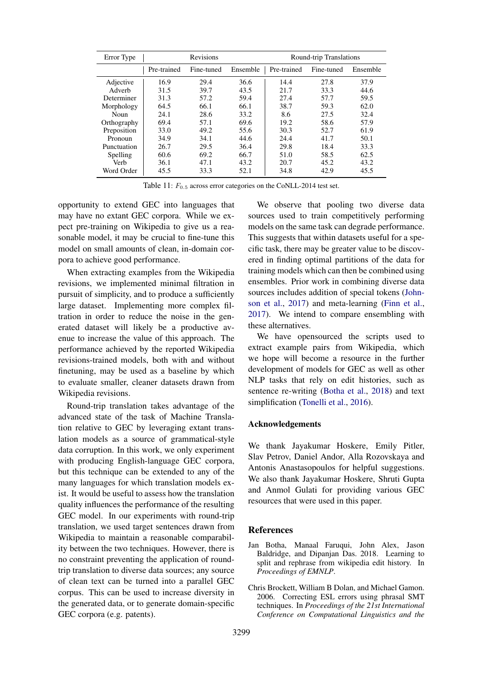| Error Type  | <b>Revisions</b> |            |          | Round-trip Translations |            |          |
|-------------|------------------|------------|----------|-------------------------|------------|----------|
|             | Pre-trained      | Fine-tuned | Ensemble | Pre-trained             | Fine-tuned | Ensemble |
| Adjective   | 16.9             | 29.4       | 36.6     | 14.4                    | 27.8       | 37.9     |
| Adverb      | 31.5             | 39.7       | 43.5     | 21.7                    | 33.3       | 44.6     |
| Determiner  | 31.3             | 57.2       | 59.4     | 27.4                    | 57.7       | 59.5     |
| Morphology  | 64.5             | 66.1       | 66.1     | 38.7                    | 59.3       | 62.0     |
| Noun        | 24.1             | 28.6       | 33.2     | 8.6                     | 27.5       | 32.4     |
| Orthography | 69.4             | 57.1       | 69.6     | 19.2                    | 58.6       | 57.9     |
| Preposition | 33.0             | 49.2       | 55.6     | 30.3                    | 52.7       | 61.9     |
| Pronoun     | 34.9             | 34.1       | 44.6     | 24.4                    | 41.7       | 50.1     |
| Punctuation | 26.7             | 29.5       | 36.4     | 29.8                    | 18.4       | 33.3     |
| Spelling    | 60.6             | 69.2       | 66.7     | 51.0                    | 58.5       | 62.5     |
| Verb        | 36.1             | 47.1       | 43.2     | 20.7                    | 45.2       | 43.2     |
| Word Order  | 45.5             | 33.3       | 52.1     | 34.8                    | 42.9       | 45.5     |

Table 11:  $F_{0.5}$  across error categories on the CoNLL-2014 test set.

opportunity to extend GEC into languages that may have no extant GEC corpora. While we expect pre-training on Wikipedia to give us a reasonable model, it may be crucial to fine-tune this model on small amounts of clean, in-domain corpora to achieve good performance.

When extracting examples from the Wikipedia revisions, we implemented minimal filtration in pursuit of simplicity, and to produce a sufficiently large dataset. Implementing more complex filtration in order to reduce the noise in the generated dataset will likely be a productive avenue to increase the value of this approach. The performance achieved by the reported Wikipedia revisions-trained models, both with and without finetuning, may be used as a baseline by which to evaluate smaller, cleaner datasets drawn from Wikipedia revisions.

Round-trip translation takes advantage of the advanced state of the task of Machine Translation relative to GEC by leveraging extant translation models as a source of grammatical-style data corruption. In this work, we only experiment with producing English-language GEC corpora, but this technique can be extended to any of the many languages for which translation models exist. It would be useful to assess how the translation quality influences the performance of the resulting GEC model. In our experiments with round-trip translation, we used target sentences drawn from Wikipedia to maintain a reasonable comparability between the two techniques. However, there is no constraint preventing the application of roundtrip translation to diverse data sources; any source of clean text can be turned into a parallel GEC corpus. This can be used to increase diversity in the generated data, or to generate domain-specific GEC corpora (e.g. patents).

We observe that pooling two diverse data sources used to train competitively performing models on the same task can degrade performance. This suggests that within datasets useful for a specific task, there may be greater value to be discovered in finding optimal partitions of the data for training models which can then be combined using ensembles. Prior work in combining diverse data sources includes addition of special tokens (Johnson et al., 2017) and meta-learning (Finn et al., 2017). We intend to compare ensembling with these alternatives.

We have opensourced the scripts used to extract example pairs from Wikipedia, which we hope will become a resource in the further development of models for GEC as well as other NLP tasks that rely on edit histories, such as sentence re-writing (Botha et al., 2018) and text simplification (Tonelli et al., 2016).

## Acknowledgements

We thank Jayakumar Hoskere, Emily Pitler, Slav Petrov, Daniel Andor, Alla Rozovskaya and Antonis Anastasopoulos for helpful suggestions. We also thank Jayakumar Hoskere, Shruti Gupta and Anmol Gulati for providing various GEC resources that were used in this paper.

## References

- Jan Botha, Manaal Faruqui, John Alex, Jason Baldridge, and Dipanjan Das. 2018. Learning to split and rephrase from wikipedia edit history. In *Proceedings of EMNLP*.
- Chris Brockett, William B Dolan, and Michael Gamon. 2006. Correcting ESL errors using phrasal SMT techniques. In *Proceedings of the 21st International Conference on Computational Linguistics and the*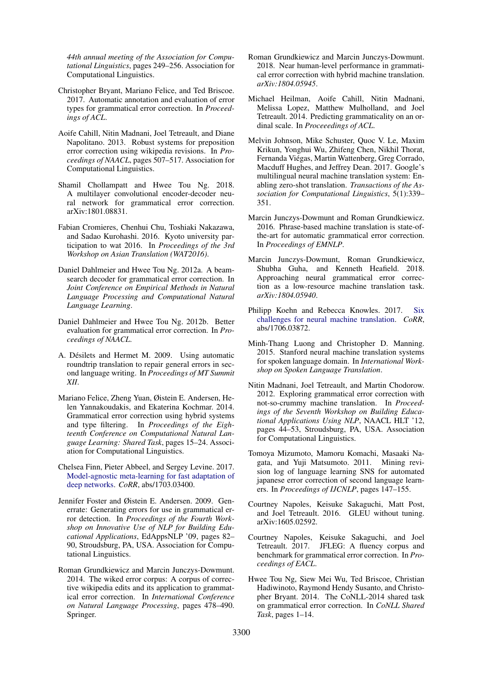*44th annual meeting of the Association for Computational Linguistics*, pages 249–256. Association for Computational Linguistics.

- Christopher Bryant, Mariano Felice, and Ted Briscoe. 2017. Automatic annotation and evaluation of error types for grammatical error correction. In *Proceedings of ACL*.
- Aoife Cahill, Nitin Madnani, Joel Tetreault, and Diane Napolitano. 2013. Robust systems for preposition error correction using wikipedia revisions. In *Proceedings of NAACL*, pages 507–517. Association for Computational Linguistics.
- Shamil Chollampatt and Hwee Tou Ng. 2018. A multilayer convolutional encoder-decoder neural network for grammatical error correction. arXiv:1801.08831.
- Fabian Cromieres, Chenhui Chu, Toshiaki Nakazawa, and Sadao Kurohashi. 2016. Kyoto university participation to wat 2016. In *Proceedings of the 3rd Workshop on Asian Translation (WAT2016)*.
- Daniel Dahlmeier and Hwee Tou Ng. 2012a. A beamsearch decoder for grammatical error correction. In *Joint Conference on Empirical Methods in Natural Language Processing and Computational Natural Language Learning*.
- Daniel Dahlmeier and Hwee Tou Ng. 2012b. Better evaluation for grammatical error correction. In *Proceedings of NAACL*.
- A. Désilets and Hermet M. 2009. Using automatic roundtrip translation to repair general errors in second language writing. In *Proceedings of MT Summit XII*.
- Mariano Felice, Zheng Yuan, Øistein E. Andersen, Helen Yannakoudakis, and Ekaterina Kochmar. 2014. Grammatical error correction using hybrid systems and type filtering. In *Proceedings of the Eighteenth Conference on Computational Natural Language Learning: Shared Task*, pages 15–24. Association for Computational Linguistics.
- Chelsea Finn, Pieter Abbeel, and Sergey Levine. 2017. Model-agnostic meta-learning for fast adaptation of deep networks. *CoRR*, abs/1703.03400.
- Jennifer Foster and Øistein E. Andersen. 2009. Generrate: Generating errors for use in grammatical error detection. In *Proceedings of the Fourth Workshop on Innovative Use of NLP for Building Educational Applications*, EdAppsNLP '09, pages 82– 90, Stroudsburg, PA, USA. Association for Computational Linguistics.
- Roman Grundkiewicz and Marcin Junczys-Dowmunt. 2014. The wiked error corpus: A corpus of corrective wikipedia edits and its application to grammatical error correction. In *International Conference on Natural Language Processing*, pages 478–490. Springer.
- Roman Grundkiewicz and Marcin Junczys-Dowmunt. 2018. Near human-level performance in grammatical error correction with hybrid machine translation. *arXiv:1804.05945*.
- Michael Heilman, Aoife Cahill, Nitin Madnani, Melissa Lopez, Matthew Mulholland, and Joel Tetreault. 2014. Predicting grammaticality on an ordinal scale. In *Proceeedings of ACL*.
- Melvin Johnson, Mike Schuster, Quoc V. Le, Maxim Krikun, Yonghui Wu, Zhifeng Chen, Nikhil Thorat, Fernanda Viegas, Martin Wattenberg, Greg Corrado, ´ Macduff Hughes, and Jeffrey Dean. 2017. Google's multilingual neural machine translation system: Enabling zero-shot translation. *Transactions of the Association for Computational Linguistics*, 5(1):339– 351.
- Marcin Junczys-Dowmunt and Roman Grundkiewicz. 2016. Phrase-based machine translation is state-ofthe-art for automatic grammatical error correction. In *Proceedings of EMNLP*.
- Marcin Junczys-Dowmunt, Roman Grundkiewicz, Shubha Guha, and Kenneth Heafield. 2018. Approaching neural grammatical error correction as a low-resource machine translation task. *arXiv:1804.05940*.
- Philipp Koehn and Rebecca Knowles. 2017. Six challenges for neural machine translation. *CoRR*, abs/1706.03872.
- Minh-Thang Luong and Christopher D. Manning. 2015. Stanford neural machine translation systems for spoken language domain. In *International Workshop on Spoken Language Translation*.
- Nitin Madnani, Joel Tetreault, and Martin Chodorow. 2012. Exploring grammatical error correction with not-so-crummy machine translation. In *Proceedings of the Seventh Workshop on Building Educational Applications Using NLP*, NAACL HLT '12, pages 44–53, Stroudsburg, PA, USA. Association for Computational Linguistics.
- Tomoya Mizumoto, Mamoru Komachi, Masaaki Nagata, and Yuji Matsumoto. 2011. Mining revision log of language learning SNS for automated japanese error correction of second language learners. In *Proceedings of IJCNLP*, pages 147–155.
- Courtney Napoles, Keisuke Sakaguchi, Matt Post, and Joel Tetreault. 2016. GLEU without tuning. arXiv:1605.02592.
- Courtney Napoles, Keisuke Sakaguchi, and Joel Tetreault. 2017. JFLEG: A fluency corpus and benchmark for grammatical error correction. In *Proceedings of EACL*.
- Hwee Tou Ng, Siew Mei Wu, Ted Briscoe, Christian Hadiwinoto, Raymond Hendy Susanto, and Christopher Bryant. 2014. The CoNLL-2014 shared task on grammatical error correction. In *CoNLL Shared Task*, pages 1–14.